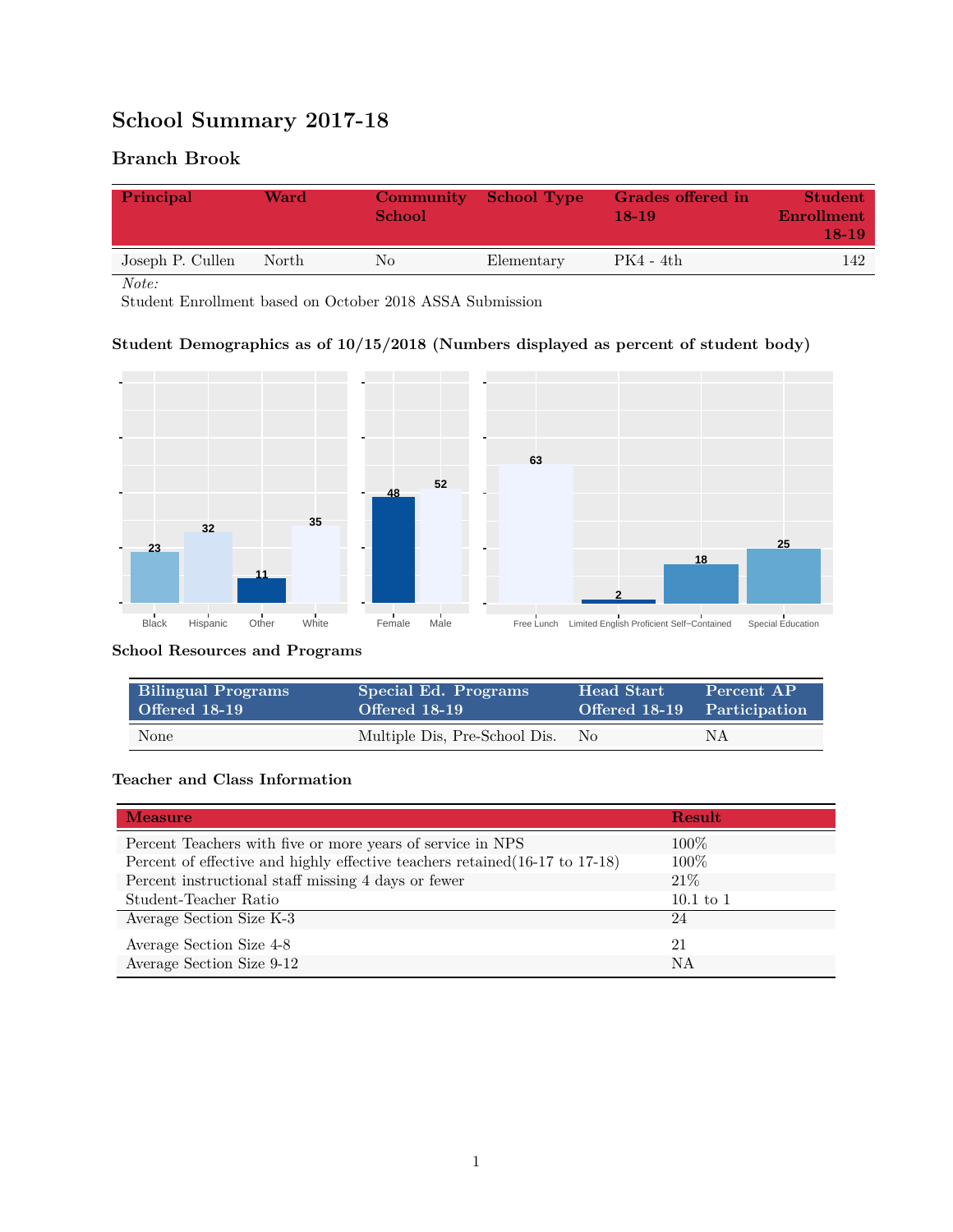# **School Summary 2017-18**

# **Branch Brook**

| Principal        | Ward  | Community<br>School | <b>School Type</b> | Grades offered in<br>18-19 | <b>Student</b><br>Enrollment<br>$18-19$ |
|------------------|-------|---------------------|--------------------|----------------------------|-----------------------------------------|
| Joseph P. Cullen | North | No                  | Elementary         | $PK4 - 4th$                | 142                                     |

*Note:*

Student Enrollment based on October 2018 ASSA Submission

## **Student Demographics as of 10/15/2018 (Numbers displayed as percent of student body)**



#### **School Resources and Programs**

| <b>Bilingual Programs</b> | Special Ed. Programs          | Head Start                  | Percent AP |
|---------------------------|-------------------------------|-----------------------------|------------|
| Offered 18-19             | Offered 18-19                 | Offered 18-19 Participation |            |
| None                      | Multiple Dis, Pre-School Dis. | No.                         | NΑ         |

#### **Teacher and Class Information**

| <b>Measure</b>                                                               | <b>Result</b> |
|------------------------------------------------------------------------------|---------------|
| Percent Teachers with five or more years of service in NPS                   | $100\%$       |
| Percent of effective and highly effective teachers retained (16-17 to 17-18) | 100\%         |
| Percent instructional staff missing 4 days or fewer                          | 21\%          |
| Student-Teacher Ratio                                                        | $10.1$ to 1   |
| Average Section Size K-3                                                     | 24            |
| Average Section Size 4-8                                                     | 21            |
| Average Section Size 9-12                                                    | NA            |